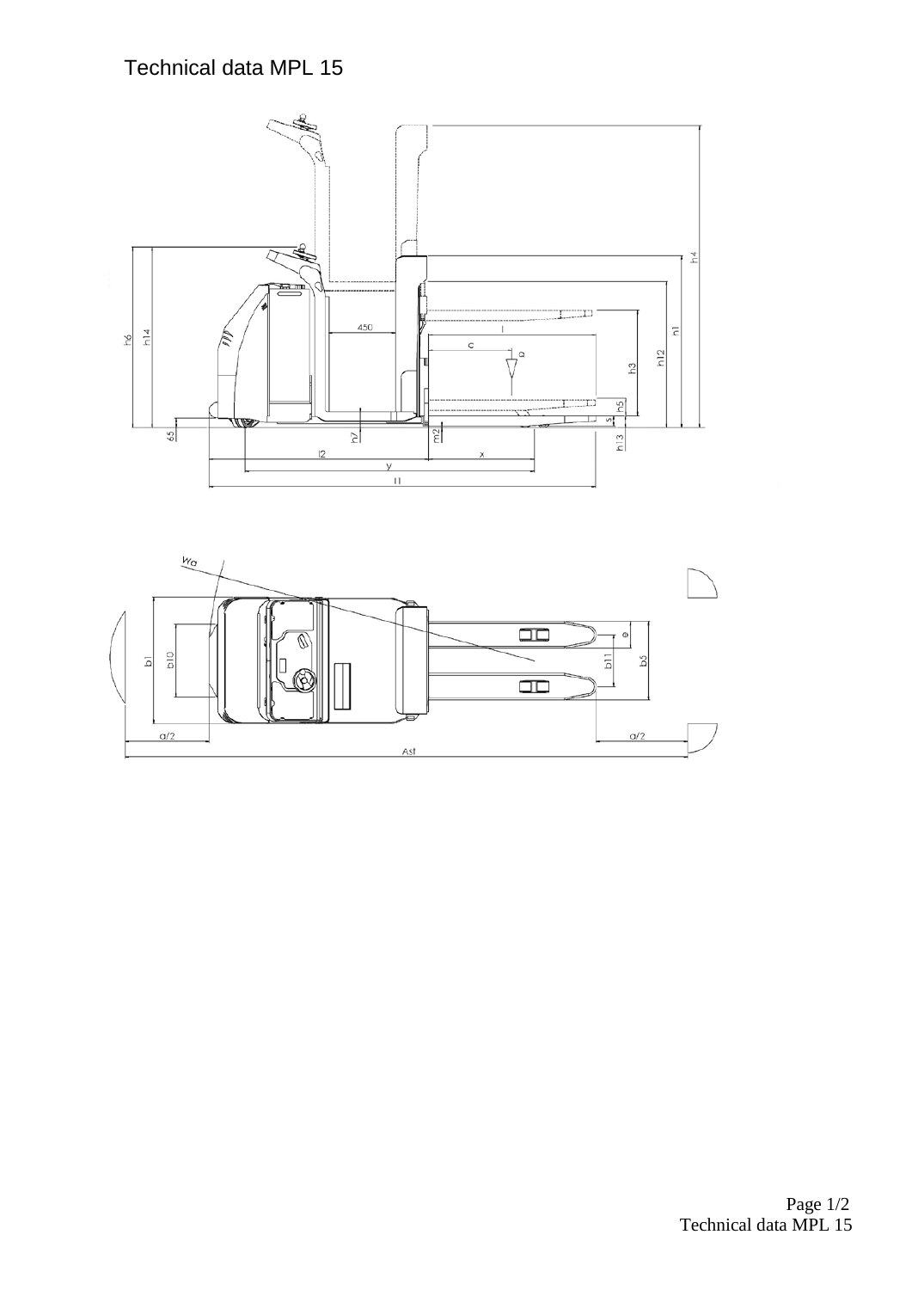